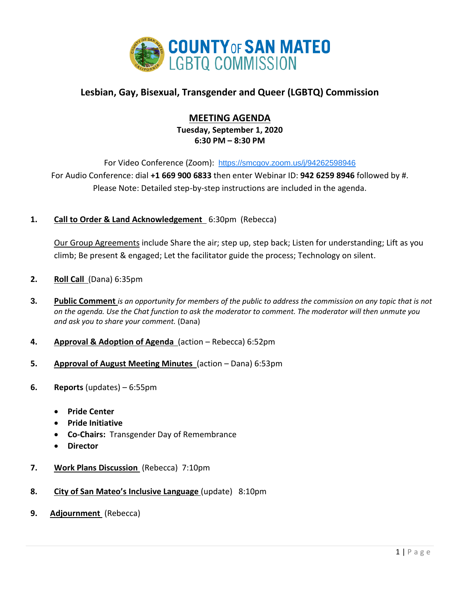

# **Lesbian, Gay, Bisexual, Transgender and Queer (LGBTQ) Commission**

## **MEETING AGENDA**

**Tuesday, September 1, 2020 6:30 PM – 8:30 PM**

For Video Conference (Zoom): <https://smcgov.zoom.us/j/94262598946> For Audio Conference: dial **+1 669 900 6833** then enter Webinar ID: **942 6259 8946** followed by #. Please Note: Detailed step-by-step instructions are included in the agenda.

**1. Call to Order & Land Acknowledgement** 6:30pm (Rebecca)

Our Group Agreements include Share the air; step up, step back; Listen for understanding; Lift as you climb; Be present & engaged; Let the facilitator guide the process; Technology on silent.

- **2. Roll Call** (Dana) 6:35pm
- **3. Public Comment** *is an opportunity for members of the public to address the commission on any topic that is not on the agenda. Use the Chat function to ask the moderator to comment. The moderator will then unmute you and ask you to share your comment.* (Dana)
- **4. Approval & Adoption of Agenda** (action Rebecca) 6:52pm
- **5. Approval of August Meeting Minutes** (action Dana) 6:53pm
- **6. Reports** (updates) 6:55pm
	- **Pride Center**
	- **Pride Initiative**
	- **Co-Chairs:** Transgender Day of Remembrance
	- **Director**
- **7. Work Plans Discussion** (Rebecca) 7:10pm
- **8. City of San Mateo's Inclusive Language** (update) 8:10pm
- **9. Adjournment** (Rebecca)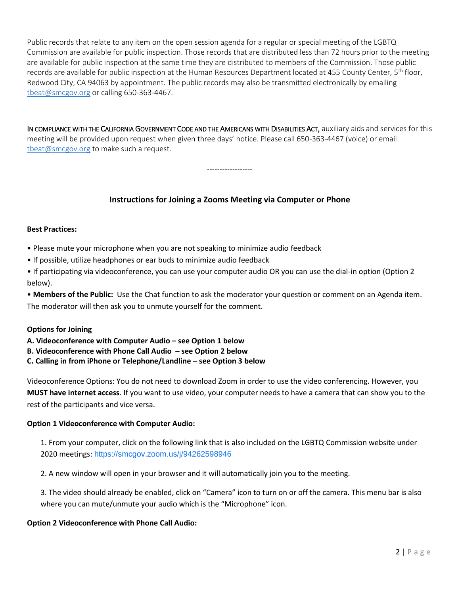Public records that relate to any item on the open session agenda for a regular or special meeting of the LGBTQ Commission are available for public inspection. Those records that are distributed less than 72 hours prior to the meeting are available for public inspection at the same time they are distributed to members of the Commission. Those public records are available for public inspection at the Human Resources Department located at 455 County Center, 5<sup>th</sup> floor, Redwood City, CA 94063 by appointment. The public records may also be transmitted electronically by emailing [tbeat@smcgov.org](mailto:tbeat@smcgov.org) or calling 650-363-4467.

IN COMPLIANCE WITH THE CALIFORNIA GOVERNMENT CODE AND THE AMERICANS WITH DISABILITIES ACT, auxiliary aids and services for this meeting will be provided upon request when given three days' notice. Please call 650-363-4467 (voice) or email [tbeat@smcgov.org](mailto:tbeat@smcgov.org) to make such a request.

### **Instructions for Joining a Zooms Meeting via Computer or Phone**

------------------

#### **Best Practices:**

- Please mute your microphone when you are not speaking to minimize audio feedback
- If possible, utilize headphones or ear buds to minimize audio feedback
- If participating via videoconference, you can use your computer audio OR you can use the dial-in option (Option 2 below).

• **Members of the Public:** Use the Chat function to ask the moderator your question or comment on an Agenda item. The moderator will then ask you to unmute yourself for the comment.

#### **Options for Joining**

- **A. Videoconference with Computer Audio – see Option 1 below**
- **B. Videoconference with Phone Call Audio – see Option 2 below**
- **C. Calling in from iPhone or Telephone/Landline – see Option 3 below**

Videoconference Options: You do not need to download Zoom in order to use the video conferencing. However, you **MUST have internet access**. If you want to use video, your computer needs to have a camera that can show you to the rest of the participants and vice versa.

#### **Option 1 Videoconference with Computer Audio:**

1. From your computer, click on the following link that is also included on the LGBTQ Commission website under 2020 meetings: <https://smcgov.zoom.us/j/94262598946>

2. A new window will open in your browser and it will automatically join you to the meeting.

3. The video should already be enabled, click on "Camera" icon to turn on or off the camera. This menu bar is also where you can mute/unmute your audio which is the "Microphone" icon.

#### **Option 2 Videoconference with Phone Call Audio:**